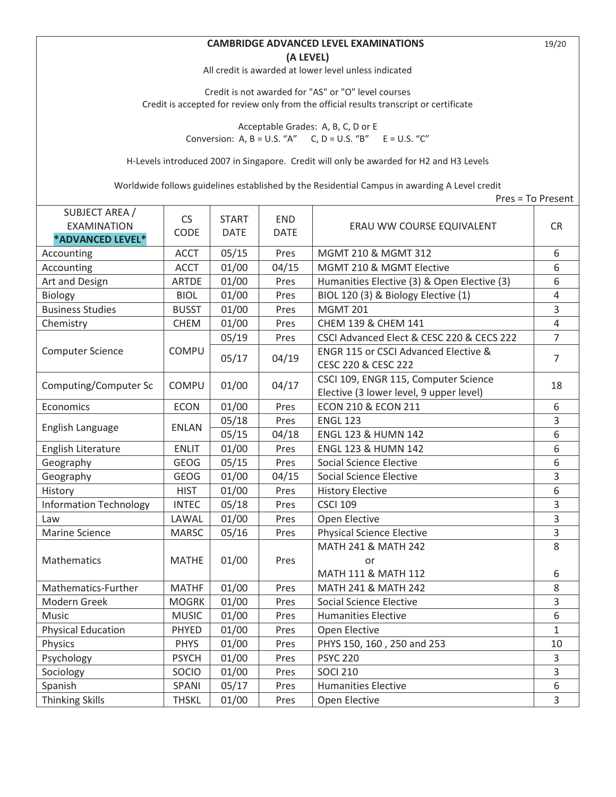## **CAMBRIDGE ADVANCED LEVEL EXAMINATIONS** 19/20 **(A LEVEL)**

All credit is awarded at lower level unless indicated

Credit is not awarded for "AS" or "O" level courses Credit is accepted for review only from the official results transcript or certificate

> Acceptable Grades: A, B, C, D or E Conversion: A,  $B = U.S.$  "A"  $C, D = U.S.$  "B"  $E = U.S.$  "C"

H-Levels introduced 2007 in Singapore. Credit will only be awarded for H2 and H3 Levels

Worldwide follows guidelines established by the Residential Campus in awarding A Level credit

|                                                          |              |                             |                           |                                                                                 | Pres = To Present |
|----------------------------------------------------------|--------------|-----------------------------|---------------------------|---------------------------------------------------------------------------------|-------------------|
| SUBJECT AREA /<br><b>EXAMINATION</b><br>*ADVANCED LEVEL* | CS<br>CODE   | <b>START</b><br><b>DATE</b> | <b>END</b><br><b>DATE</b> | ERAU WW COURSE EQUIVALENT                                                       | <b>CR</b>         |
| Accounting                                               | <b>ACCT</b>  | 05/15                       | Pres                      | MGMT 210 & MGMT 312                                                             | 6                 |
| Accounting                                               | <b>ACCT</b>  | 01/00                       | 04/15                     | MGMT 210 & MGMT Elective                                                        | 6                 |
| Art and Design                                           | <b>ARTDE</b> | 01/00                       | Pres                      | Humanities Elective (3) & Open Elective (3)                                     | 6                 |
| Biology                                                  | <b>BIOL</b>  | 01/00                       | Pres                      | BIOL 120 (3) & Biology Elective (1)                                             | $\overline{4}$    |
| <b>Business Studies</b>                                  | <b>BUSST</b> | 01/00                       | Pres                      | <b>MGMT 201</b>                                                                 | 3                 |
| Chemistry                                                | <b>CHEM</b>  | 01/00                       | Pres                      | CHEM 139 & CHEM 141                                                             | $\overline{4}$    |
|                                                          |              | 05/19                       | Pres                      | CSCI Advanced Elect & CESC 220 & CECS 222                                       | $\overline{7}$    |
| <b>Computer Science</b>                                  | <b>COMPU</b> | 05/17                       | 04/19                     | ENGR 115 or CSCI Advanced Elective &<br>CESC 220 & CESC 222                     | $\overline{7}$    |
| Computing/Computer Sc                                    | COMPU        | 01/00                       | 04/17                     | CSCI 109, ENGR 115, Computer Science<br>Elective (3 lower level, 9 upper level) | 18                |
| Economics                                                | <b>ECON</b>  | 01/00                       | Pres                      | <b>ECON 210 &amp; ECON 211</b>                                                  | 6                 |
| English Language                                         | <b>ENLAN</b> | 05/18                       | Pres                      | <b>ENGL 123</b>                                                                 | 3                 |
|                                                          |              | 05/15                       | 04/18                     | <b>ENGL 123 &amp; HUMN 142</b>                                                  | 6                 |
| English Literature                                       | <b>ENLIT</b> | 01/00                       | Pres                      | ENGL 123 & HUMN 142                                                             | 6                 |
| Geography                                                | <b>GEOG</b>  | 05/15                       | Pres                      | <b>Social Science Elective</b>                                                  | 6                 |
| Geography                                                | <b>GEOG</b>  | 01/00                       | 04/15                     | <b>Social Science Elective</b>                                                  | $\overline{3}$    |
| History                                                  | <b>HIST</b>  | 01/00                       | Pres                      | <b>History Elective</b>                                                         | 6                 |
| <b>Information Technology</b>                            | <b>INTEC</b> | 05/18                       | Pres                      | <b>CSCI 109</b>                                                                 | 3                 |
| Law                                                      | LAWAL        | 01/00                       | Pres                      | Open Elective                                                                   | $\overline{3}$    |
| <b>Marine Science</b>                                    | <b>MARSC</b> | 05/16                       | Pres                      | <b>Physical Science Elective</b>                                                | 3                 |
|                                                          |              |                             |                           | MATH 241 & MATH 242                                                             | 8                 |
| Mathematics                                              | <b>MATHE</b> | 01/00                       | Pres                      | or                                                                              |                   |
|                                                          |              |                             |                           | MATH 111 & MATH 112                                                             | 6                 |
| Mathematics-Further                                      | <b>MATHF</b> | 01/00                       | Pres                      | MATH 241 & MATH 242                                                             | 8                 |
| Modern Greek                                             | <b>MOGRK</b> | 01/00                       | Pres                      | <b>Social Science Elective</b>                                                  | 3                 |
| Music                                                    | <b>MUSIC</b> | 01/00                       | Pres                      | <b>Humanities Elective</b>                                                      | 6                 |
| <b>Physical Education</b>                                | PHYED        | 01/00                       | Pres                      | Open Elective                                                                   | $\mathbf{1}$      |
| Physics                                                  | <b>PHYS</b>  | 01/00                       | Pres                      | PHYS 150, 160, 250 and 253                                                      | 10                |
| Psychology                                               | <b>PSYCH</b> | 01/00                       | Pres                      | <b>PSYC 220</b>                                                                 | 3                 |
| Sociology                                                | <b>SOCIO</b> | 01/00                       | Pres                      | <b>SOCI 210</b>                                                                 | 3                 |
| Spanish                                                  | SPANI        | 05/17                       | Pres                      | <b>Humanities Elective</b>                                                      | 6                 |
| <b>Thinking Skills</b>                                   | <b>THSKL</b> | 01/00                       | Pres                      | Open Elective                                                                   | 3                 |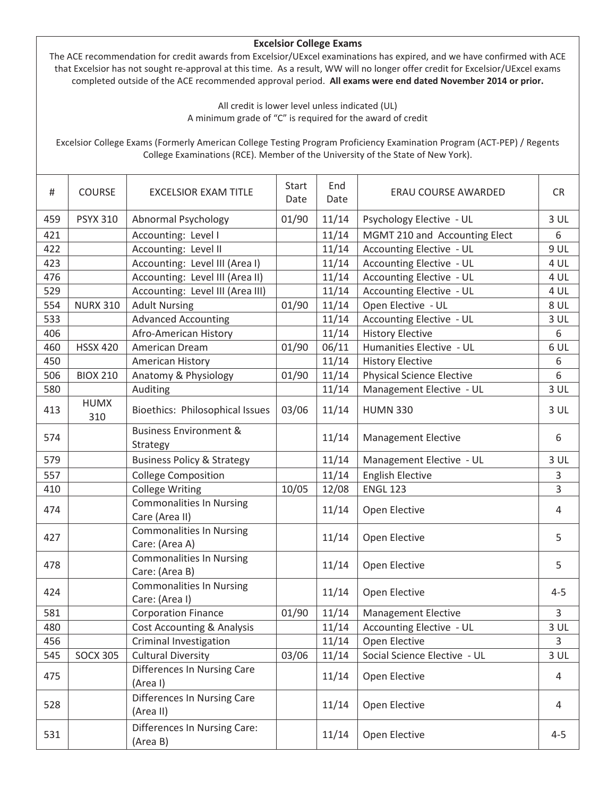## **Excelsior College Exams**

The ACE recommendation for credit awards from Excelsior/UExcel examinations has expired, and we have confirmed with ACE that Excelsior has not sought re-approval at this time. As a result, WW will no longer offer credit for Excelsior/UExcel exams completed outside of the ACE recommended approval period. **All exams were end dated November 2014 or prior.** 

> All credit is lower level unless indicated (UL) A minimum grade of "C" is required for the award of credit

Excelsior College Exams (Formerly American College Testing Program Proficiency Examination Program (ACT-PEP) / Regents College Examinations (RCE). Member of the University of the State of New York).

| #   | <b>COURSE</b>      | <b>EXCELSIOR EXAM TITLE</b>                       | Start<br>Date | End<br>Date | ERAU COURSE AWARDED              | <b>CR</b>      |
|-----|--------------------|---------------------------------------------------|---------------|-------------|----------------------------------|----------------|
| 459 | <b>PSYX 310</b>    | Abnormal Psychology                               | 01/90         | 11/14       | Psychology Elective - UL         | 3 <sup>U</sup> |
| 421 |                    | Accounting: Level I                               |               | 11/14       | MGMT 210 and Accounting Elect    | 6              |
| 422 |                    | Accounting: Level II                              |               | 11/14       | Accounting Elective - UL         | 9 UL           |
| 423 |                    | Accounting: Level III (Area I)                    |               | 11/14       | Accounting Elective - UL         | 4 UL           |
| 476 |                    | Accounting: Level III (Area II)                   |               | 11/14       | Accounting Elective - UL         | 4 UL           |
| 529 |                    | Accounting: Level III (Area III)                  |               | 11/14       | Accounting Elective - UL         | 4 UL           |
| 554 | <b>NURX 310</b>    | <b>Adult Nursing</b>                              | 01/90         | 11/14       | Open Elective - UL               | <b>8 UL</b>    |
| 533 |                    | <b>Advanced Accounting</b>                        |               | 11/14       | Accounting Elective - UL         | 3UL            |
| 406 |                    | Afro-American History                             |               | 11/14       | <b>History Elective</b>          | 6              |
| 460 | <b>HSSX 420</b>    | American Dream                                    | 01/90         | 06/11       | Humanities Elective - UL         | 6 UL           |
| 450 |                    | American History                                  |               | 11/14       | <b>History Elective</b>          | 6              |
| 506 | <b>BIOX 210</b>    | Anatomy & Physiology                              | 01/90         | 11/14       | <b>Physical Science Elective</b> | 6              |
| 580 |                    | Auditing                                          |               | 11/14       | Management Elective - UL         | $3$ UL         |
| 413 | <b>HUMX</b><br>310 | Bioethics: Philosophical Issues                   | 03/06         | 11/14       | <b>HUMN 330</b>                  | $3$ UL         |
| 574 |                    | <b>Business Environment &amp;</b><br>Strategy     |               | 11/14       | <b>Management Elective</b>       | 6              |
| 579 |                    | <b>Business Policy &amp; Strategy</b>             |               | 11/14       | Management Elective - UL         | 3 <sup>U</sup> |
| 557 |                    | <b>College Composition</b>                        |               | 11/14       | <b>English Elective</b>          | 3              |
| 410 |                    | <b>College Writing</b>                            | 10/05         | 12/08       | <b>ENGL 123</b>                  | 3              |
| 474 |                    | <b>Commonalities In Nursing</b><br>Care (Area II) |               | 11/14       | Open Elective                    | 4              |
| 427 |                    | <b>Commonalities In Nursing</b><br>Care: (Area A) |               | 11/14       | Open Elective                    | 5              |
| 478 |                    | <b>Commonalities In Nursing</b><br>Care: (Area B) |               | 11/14       | Open Elective                    | 5              |
| 424 |                    | <b>Commonalities In Nursing</b><br>Care: (Area I) |               | 11/14       | Open Elective                    | $4 - 5$        |
| 581 |                    | <b>Corporation Finance</b>                        | 01/90         | 11/14       | <b>Management Elective</b>       | 3              |
| 480 |                    | <b>Cost Accounting &amp; Analysis</b>             |               | 11/14       | Accounting Elective - UL         | 3 UL           |
| 456 |                    | Criminal Investigation                            |               | 11/14       | Open Elective                    | 3              |
| 545 | <b>SOCX 305</b>    | <b>Cultural Diversity</b>                         | 03/06         | 11/14       | Social Science Elective - UL     | $3$ UL         |
| 475 |                    | <b>Differences In Nursing Care</b><br>(Area I)    |               | 11/14       | Open Elective                    | 4              |
| 528 |                    | Differences In Nursing Care<br>(Area II)          |               | 11/14       | Open Elective                    | 4              |
| 531 |                    | Differences In Nursing Care:<br>(Area B)          |               | 11/14       | Open Elective                    | $4 - 5$        |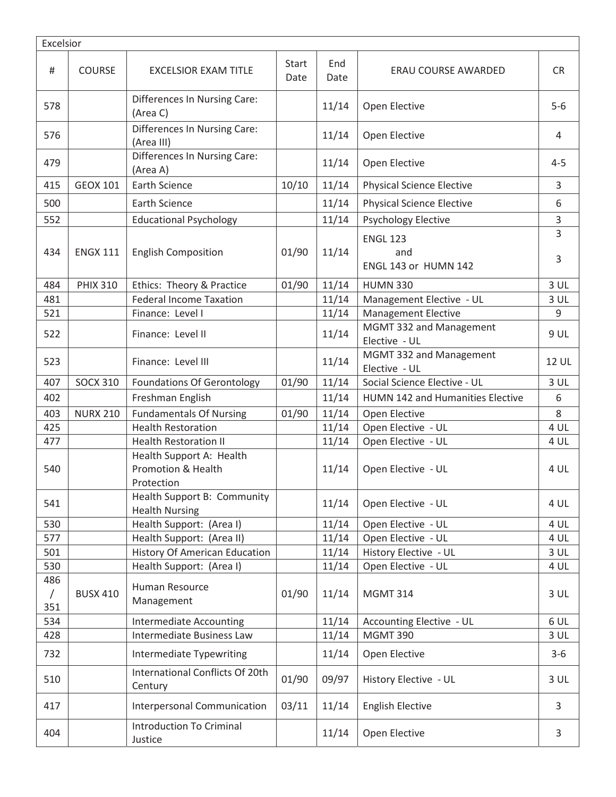| Excelsior                |                 |                                                              |               |             |                                                |                 |  |
|--------------------------|-----------------|--------------------------------------------------------------|---------------|-------------|------------------------------------------------|-----------------|--|
| #                        | <b>COURSE</b>   | <b>EXCELSIOR EXAM TITLE</b>                                  | Start<br>Date | End<br>Date | ERAU COURSE AWARDED                            | <b>CR</b>       |  |
| 578                      |                 | Differences In Nursing Care:<br>(Area C)                     |               | 11/14       | Open Elective                                  | $5-6$           |  |
| 576                      |                 | Differences In Nursing Care:<br>(Area III)                   |               | 11/14       | Open Elective                                  | 4               |  |
| 479                      |                 | <b>Differences In Nursing Care:</b><br>(Area A)              |               | 11/14       | Open Elective                                  | $4 - 5$         |  |
| 415                      | <b>GEOX 101</b> | <b>Earth Science</b>                                         | 10/10         | 11/14       | <b>Physical Science Elective</b>               | $\overline{3}$  |  |
| 500                      |                 | <b>Earth Science</b>                                         |               | 11/14       | <b>Physical Science Elective</b>               | 6               |  |
| 552                      |                 | <b>Educational Psychology</b>                                |               | 11/14       | <b>Psychology Elective</b>                     | 3               |  |
| 434                      | <b>ENGX 111</b> | <b>English Composition</b>                                   | 01/90         | 11/14       | <b>ENGL 123</b><br>and<br>ENGL 143 or HUMN 142 | 3<br>3          |  |
| 484                      | <b>PHIX 310</b> | Ethics: Theory & Practice                                    | 01/90         | 11/14       | <b>HUMN 330</b>                                | 3 <sub>UL</sub> |  |
| 481                      |                 | <b>Federal Income Taxation</b>                               |               | 11/14       | Management Elective - UL                       | 3 UL            |  |
| 521                      |                 | Finance: Level I                                             |               | 11/14       | <b>Management Elective</b>                     | 9               |  |
| 522                      |                 | Finance: Level II                                            |               | 11/14       | MGMT 332 and Management<br>Elective - UL       | 9 UL            |  |
| 523                      |                 | Finance: Level III                                           |               | 11/14       | MGMT 332 and Management<br>Elective - UL       | <b>12 UL</b>    |  |
| 407                      | <b>SOCX 310</b> | <b>Foundations Of Gerontology</b>                            | 01/90         | 11/14       | Social Science Elective - UL                   | 3 <sub>UL</sub> |  |
| 402                      |                 | Freshman English                                             |               | 11/14       | <b>HUMN 142 and Humanities Elective</b>        | 6               |  |
| 403                      | <b>NURX 210</b> | <b>Fundamentals Of Nursing</b>                               | 01/90         | 11/14       | Open Elective                                  | 8               |  |
| 425                      |                 | <b>Health Restoration</b>                                    |               | 11/14       | Open Elective - UL                             | 4 UL            |  |
| 477                      |                 | <b>Health Restoration II</b>                                 |               | 11/14       | Open Elective - UL                             | 4 UL            |  |
| 540                      |                 | Health Support A: Health<br>Promotion & Health<br>Protection |               | 11/14       | Open Elective - UL                             | 4 UL            |  |
| 541                      |                 | Health Support B: Community<br><b>Health Nursing</b>         |               | 11/14       | Open Elective - UL                             | 4 UL            |  |
| 530                      |                 | Health Support: (Area I)                                     |               | 11/14       | Open Elective - UL                             | 4 UL            |  |
| 577                      |                 | Health Support: (Area II)                                    |               | 11/14       | Open Elective - UL                             | 4 UL            |  |
| 501                      |                 | <b>History Of American Education</b>                         |               | 11/14       | History Elective - UL                          | 3 <sub>UL</sub> |  |
| 530                      |                 | Health Support: (Area I)                                     |               | 11/14       | Open Elective - UL                             | 4 UL            |  |
| 486<br>$\sqrt{2}$<br>351 | <b>BUSX 410</b> | Human Resource<br>Management                                 | 01/90         | 11/14       | <b>MGMT 314</b>                                | 3 <sub>UL</sub> |  |
| 534                      |                 | <b>Intermediate Accounting</b>                               |               | 11/14       | Accounting Elective - UL                       | 6 UL            |  |
| 428                      |                 | Intermediate Business Law                                    |               | 11/14       | <b>MGMT 390</b>                                | 3 <sub>UL</sub> |  |
| 732                      |                 | Intermediate Typewriting                                     |               | 11/14       | Open Elective                                  | $3 - 6$         |  |
| 510                      |                 | International Conflicts Of 20th<br>Century                   | 01/90         | 09/97       | History Elective - UL                          | 3 <sub>UL</sub> |  |
| 417                      |                 | Interpersonal Communication                                  | 03/11         | 11/14       | <b>English Elective</b>                        | 3               |  |
| 404                      |                 | <b>Introduction To Criminal</b><br>Justice                   |               | 11/14       | Open Elective                                  | 3               |  |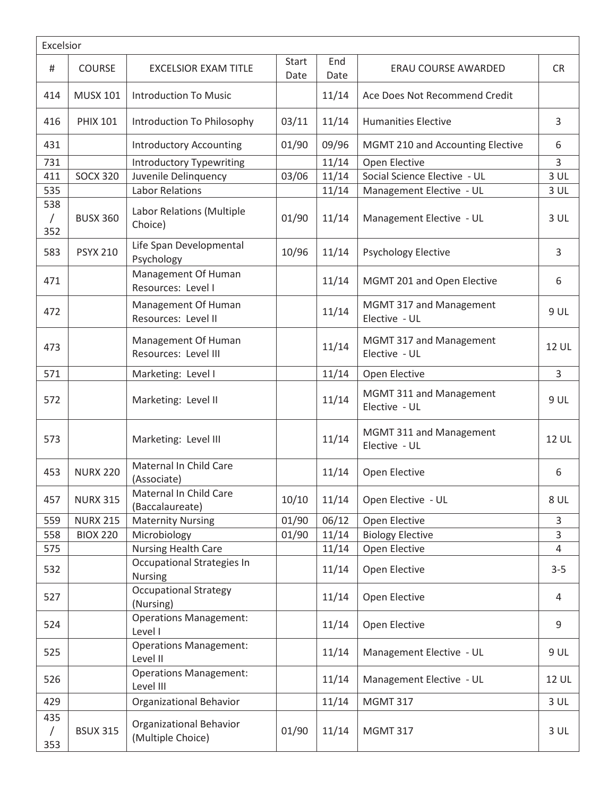| Excelsior                |                 |                                              |                      |             |                                          |                 |  |
|--------------------------|-----------------|----------------------------------------------|----------------------|-------------|------------------------------------------|-----------------|--|
| #                        | COURSE          | <b>EXCELSIOR EXAM TITLE</b>                  | <b>Start</b><br>Date | End<br>Date | <b>ERAU COURSE AWARDED</b>               | <b>CR</b>       |  |
| 414                      | <b>MUSX 101</b> | <b>Introduction To Music</b>                 |                      | 11/14       | Ace Does Not Recommend Credit            |                 |  |
| 416                      | <b>PHIX 101</b> | Introduction To Philosophy                   | 03/11                | 11/14       | <b>Humanities Elective</b>               | 3               |  |
| 431                      |                 | <b>Introductory Accounting</b>               | 01/90                | 09/96       | MGMT 210 and Accounting Elective         | 6               |  |
| 731                      |                 | <b>Introductory Typewriting</b>              |                      | 11/14       | Open Elective                            | $\overline{3}$  |  |
| 411                      | <b>SOCX 320</b> | Juvenile Delinquency                         | 03/06                | 11/14       | Social Science Elective - UL             | 3 UL            |  |
| 535                      |                 | <b>Labor Relations</b>                       |                      | 11/14       | Management Elective - UL                 | 3 <sup>U</sup>  |  |
| 538<br>$\sqrt{2}$<br>352 | <b>BUSX 360</b> | Labor Relations (Multiple<br>Choice)         | 01/90                | 11/14       | Management Elective - UL                 | 3 UL            |  |
| 583                      | <b>PSYX 210</b> | Life Span Developmental<br>Psychology        | 10/96                | 11/14       | <b>Psychology Elective</b>               | 3               |  |
| 471                      |                 | Management Of Human<br>Resources: Level I    |                      | 11/14       | MGMT 201 and Open Elective               | 6               |  |
| 472                      |                 | Management Of Human<br>Resources: Level II   |                      | 11/14       | MGMT 317 and Management<br>Elective - UL | 9 UL            |  |
| 473                      |                 | Management Of Human<br>Resources: Level III  |                      | 11/14       | MGMT 317 and Management<br>Elective - UL | 12 UL           |  |
| 571                      |                 | Marketing: Level I                           |                      | 11/14       | Open Elective                            | 3               |  |
| 572                      |                 | Marketing: Level II                          |                      | 11/14       | MGMT 311 and Management<br>Elective - UL | 9 UL            |  |
| 573                      |                 | Marketing: Level III                         |                      | 11/14       | MGMT 311 and Management<br>Elective - UL | 12 UL           |  |
| 453                      | <b>NURX 220</b> | Maternal In Child Care<br>(Associate)        |                      | 11/14       | Open Elective                            | 6               |  |
| 457                      | <b>NURX 315</b> | Maternal In Child Care<br>(Baccalaureate)    | 10/10                | 11/14       | Open Elective - UL                       | 8 UL            |  |
| 559                      | <b>NURX 215</b> | <b>Maternity Nursing</b>                     | 01/90                | 06/12       | Open Elective                            | 3               |  |
| 558                      | <b>BIOX 220</b> | Microbiology                                 | 01/90                | 11/14       | <b>Biology Elective</b>                  | 3               |  |
| 575                      |                 | <b>Nursing Health Care</b>                   |                      | 11/14       | Open Elective                            | 4               |  |
| 532                      |                 | Occupational Strategies In<br><b>Nursing</b> |                      | 11/14       | Open Elective                            | $3 - 5$         |  |
| 527                      |                 | <b>Occupational Strategy</b><br>(Nursing)    |                      | 11/14       | Open Elective                            | 4               |  |
| 524                      |                 | <b>Operations Management:</b><br>Level I     |                      | 11/14       | Open Elective                            | 9               |  |
| 525                      |                 | <b>Operations Management:</b><br>Level II    |                      | 11/14       | Management Elective - UL                 | 9 UL            |  |
| 526                      |                 | <b>Operations Management:</b><br>Level III   |                      | 11/14       | Management Elective - UL                 | <b>12 UL</b>    |  |
| 429                      |                 | Organizational Behavior                      |                      | 11/14       | <b>MGMT 317</b>                          | 3 <sub>UL</sub> |  |
| 435<br>$\sqrt{2}$<br>353 | <b>BSUX 315</b> | Organizational Behavior<br>(Multiple Choice) | 01/90                | 11/14       | <b>MGMT 317</b>                          | $3$ UL          |  |